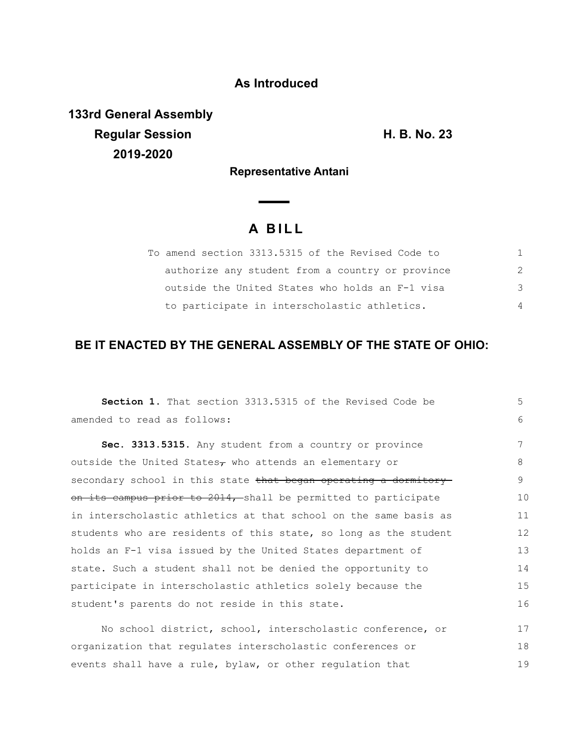## **As Introduced**

**133rd General Assembly Regular Session H. B. No. 23 2019-2020**

**Representative Antani**

 $\overline{\phantom{a}}$ 

## **A B I L L**

| To amend section 3313.5315 of the Revised Code to |               |
|---------------------------------------------------|---------------|
| authorize any student from a country or province  | $\mathcal{P}$ |
| outside the United States who holds an F-1 visa   | 3             |
| to participate in interscholastic athletics.      | 4             |

## **BE IT ENACTED BY THE GENERAL ASSEMBLY OF THE STATE OF OHIO:**

| Section 1. That section 3313.5315 of the Revised Code be         | 5  |
|------------------------------------------------------------------|----|
| amended to read as follows:                                      | 6  |
| Sec. 3313.5315. Any student from a country or province           | 7  |
| outside the United States $\tau$ who attends an elementary or    | 8  |
| secondary school in this state that began operating a dormitory  | 9  |
| on its campus prior to 2014, shall be permitted to participate   | 10 |
| in interscholastic athletics at that school on the same basis as | 11 |
| students who are residents of this state, so long as the student | 12 |
| holds an F-1 visa issued by the United States department of      | 13 |
| state. Such a student shall not be denied the opportunity to     | 14 |
| participate in interscholastic athletics solely because the      | 15 |
| student's parents do not reside in this state.                   | 16 |
| No school district, school, interscholastic conference, or       | 17 |
| organization that regulates interscholastic conferences or       | 18 |
| events shall have a rule, bylaw, or other regulation that        | 19 |